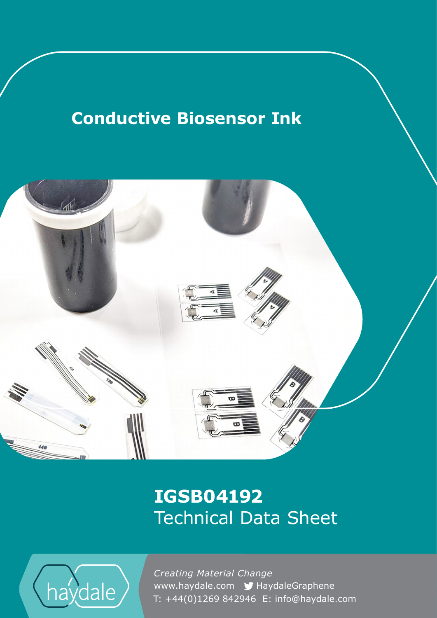# **Conductive Biosensor Ink**



## **IGSB04192** Technical Data Sheet



www.haydale.com y HaydaleGraphene *Creating Material Change*  T: +44(0)1269 842946 E: info@haydale.com